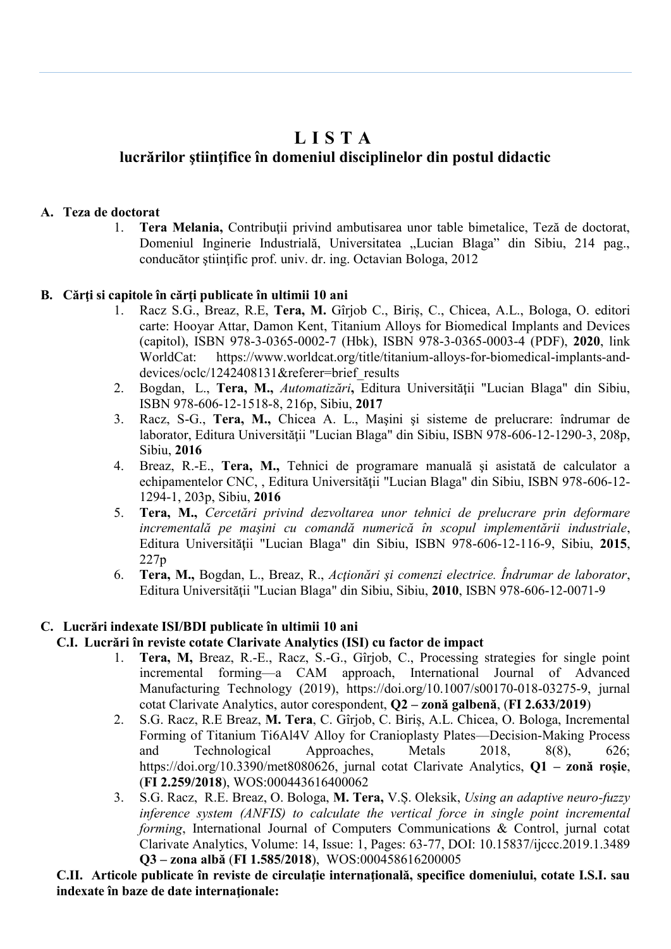# **L I S T A**

# **lucrărilor ştiinţifice în domeniul disciplinelor din postul didactic**

# **A. Teza de doctorat**

1. **Tera Melania,** Contribuţii privind ambutisarea unor table bimetalice, Teză de doctorat, Domeniul Inginerie Industrială, Universitatea "Lucian Blaga" din Sibiu, 214 pag., conducător științific prof. univ. dr. ing. Octavian Bologa, 2012

# **B. Cărţi si capitole în cărţi publicate în ultimii 10 ani**

- 1. Racz S.G., Breaz, R.E, **Tera, M.** Gîrjob C., Biriș, C., Chicea, A.L., Bologa, O. editori carte: Hooyar Attar, Damon Kent, Titanium Alloys for Biomedical Implants and Devices (capitol), ISBN 978-3-0365-0002-7 (Hbk), ISBN 978-3-0365-0003-4 (PDF), **2020**, link WorldCat: https://www.worldcat.org/title/titanium-alloys-for-biomedical-implants-anddevices/oclc/1242408131&referer=brief\_results
- 2. Bogdan, L., **Tera, M.,** *Automatizări***,** Editura Universităţii "Lucian Blaga" din Sibiu, ISBN 978-606-12-1518-8, 216p, Sibiu, **2017**
- 3. Racz, S-G., **Tera, M.,** Chicea A. L., Maşini şi sisteme de prelucrare: îndrumar de laborator, Editura Universităţii "Lucian Blaga" din Sibiu, ISBN 978-606-12-1290-3, 208p, Sibiu, **2016**
- 4. Breaz, R.-E., **Tera, M.,** Tehnici de programare manuală şi asistată de calculator a echipamentelor CNC, , Editura Universităţii "Lucian Blaga" din Sibiu, ISBN 978-606-12- 1294-1, 203p, Sibiu, **2016**
- 5. **Tera, M.,** *Cercetări privind dezvoltarea unor tehnici de prelucrare prin deformare incrementală pe maşini cu comandă numerică în scopul implementării industriale*, Editura Universităţii "Lucian Blaga" din Sibiu, ISBN 978-606-12-116-9, Sibiu, **2015**, 227p
- 6. **Tera, M.,** Bogdan, L., Breaz, R., *Acţionări şi comenzi electrice. Îndrumar de laborator*, Editura Universităţii "Lucian Blaga" din Sibiu, Sibiu, **2010**, ISBN 978-606-12-0071-9

# **C. Lucrări indexate ISI/BDI publicate în ultimii 10 ani**

## **C.I. Lucrări în reviste cotate Clarivate Analytics (ISI) cu factor de impact**

- 1. **Tera, M,** Breaz, R.-E., Racz, S.-G., Gîrjob, C., Processing strategies for single point incremental forming—a CAM approach, International Journal of Advanced Manufacturing Technology (2019), [https://doi.org/10.1007/s00170-018-03275-9,](https://doi.org/10.1007/s00170-018-03275-9) jurnal cotat Clarivate Analytics, autor corespondent, **Q2 – zonă galbenă**, (**FI 2.633/2019**)
- 2. S.G. Racz, R.E Breaz, **M. Tera**, C. Gîrjob, C. Biriș, A.L. Chicea, O. Bologa, Incremental Forming of Titanium Ti6Al4V Alloy for Cranioplasty Plates—Decision-Making Process and Technological Approaches, Metals 2018, 8(8), 626; [https://doi.org/10.3390/met8080626,](https://doi.org/10.3390/met8080626) jurnal cotat Clarivate Analytics, **Q1 – zonă roșie**, (**FI 2.259/2018**), WOS:000443616400062
- 3. S.G. Racz, R.E. Breaz, O. Bologa, **M. Tera,** V.Ș. Oleksik, *Using an adaptive neuro-fuzzy inference system (ANFIS) to calculate the vertical force in single point incremental forming*, International Journal of Computers Communications & Control, jurnal cotat Clarivate Analytics, Volume: 14, Issue: 1, Pages: 63-77, DOI: 10.15837/ijccc.2019.1.3489 **Q3 – zona albă** (**FI 1.585/2018**), WOS:000458616200005

**C.II. Articole publicate în reviste de circulaţie internaţională, specifice domeniului, cotate I.S.I. sau indexate în baze de date internaţionale:**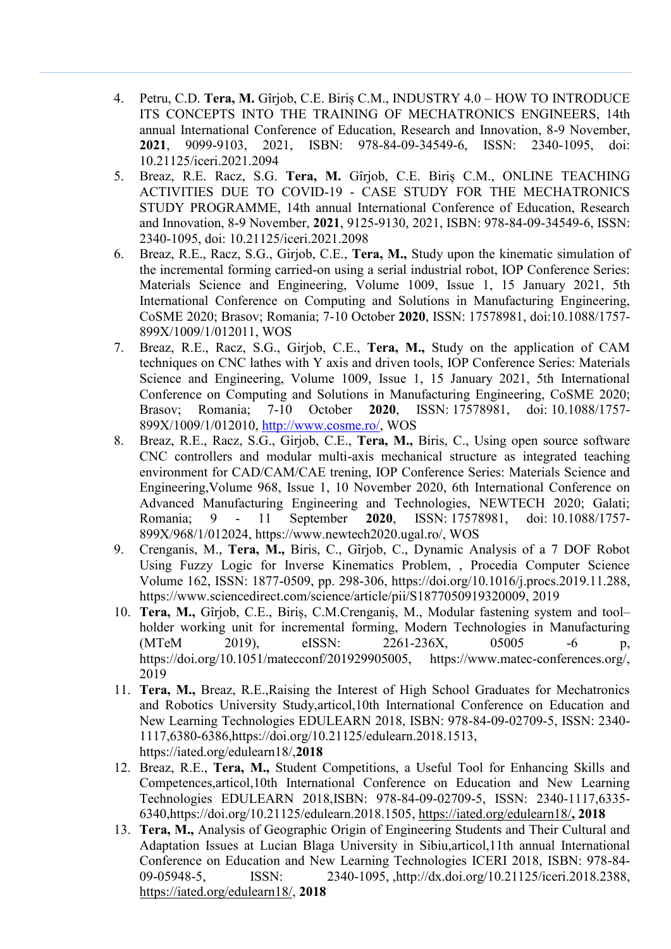- 4. Petru, C.D. **Tera, M.** Gîrjob, C.E. Biriș C.M., INDUSTRY 4.0 HOW TO INTRODUCE ITS CONCEPTS INTO THE TRAINING OF MECHATRONICS ENGINEERS, 14th annual International Conference of Education, Research and Innovation, 8-9 November, **2021**, 9099-9103, 2021, ISBN: 978-84-09-34549-6, ISSN: 2340-1095, doi: 10.21125/iceri.2021.2094
- 5. Breaz, R.E. Racz, S.G. **Tera, M.** Gîrjob, C.E. Biriș C.M., ONLINE TEACHING ACTIVITIES DUE TO COVID-19 - CASE STUDY FOR THE MECHATRONICS STUDY PROGRAMME, 14th annual International Conference of Education, Research and Innovation, 8-9 November, **2021**, 9125-9130, 2021, ISBN: 978-84-09-34549-6, ISSN: 2340-1095, doi: 10.21125/iceri.2021.2098
- 6. Breaz, R.E., Racz, S.G., Girjob, C.E., **Tera, M.,** Study upon the kinematic simulation of the incremental forming carried-on using a serial industrial robot, IOP Conference Series: Materials Science and Engineering, Volume 1009, Issue 1, 15 January 2021, 5th International Conference on Computing and Solutions in Manufacturing Engineering, CoSME 2020; Brasov; Romania; 7-10 October **2020**, ISSN: 17578981, doi:10.1088/1757- 899X/1009/1/012011, WOS
- 7. Breaz, R.E., Racz, S.G., Girjob, C.E., **Tera, M.,** Study on the application of CAM techniques on CNC lathes with Y axis and driven tools, IOP Conference Series: Materials Science and Engineering, Volume 1009, Issue 1, 15 January 2021, 5th International Conference on Computing and Solutions in Manufacturing Engineering, CoSME 2020; Brasov; Romania; 7-10 October **2020**, ISSN: 17578981, doi: 10.1088/1757- 899X/1009/1/012010, [http://www.cosme.ro/,](http://www.cosme.ro/) WOS
- 8. Breaz, R.E., Racz, S.G., Girjob, C.E., **Tera, M.,** Biris, C., Using open source software CNC controllers and modular multi-axis mechanical structure as integrated teaching environment for CAD/CAM/CAE trening, IOP Conference Series: Materials Science and Engineering,Volume 968, Issue 1, 10 November 2020, 6th International Conference on Advanced Manufacturing Engineering and Technologies, NEWTECH 2020; Galati; Romania; 9 - 11 September **2020**, ISSN: 17578981, doi: 10.1088/1757- 899X/968/1/012024, https://www.newtech2020.ugal.ro/, WOS
- 9. Crenganis, M., **Tera, M.,** Biris, C., Gîrjob, C., Dynamic Analysis of a 7 DOF Robot Using Fuzzy Logic for Inverse Kinematics Problem, , Procedia Computer Science Volume 162, ISSN: 1877-0509, pp. 298-306, [https://doi.org/10.1016/j.procs.2019.11.288,](https://doi.org/10.1016/j.procs.2019.11.288) [https://www.sciencedirect.com/science/article/pii/S1877050919320009,](https://www.sciencedirect.com/science/article/pii/S1877050919320009) 2019
- 10. **Tera, M.,** Gîrjob, C.E., Biriș, C.M.Crenganiș, M., Modular fastening system and tool– holder working unit for incremental forming, Modern Technologies in Manufacturing (MTeM 2019), eISSN: 2261-236X, 05005 -6 p, [https://doi.org/10.1051/matecconf/201929905005,](https://doi.org/10.1051/matecconf/201929905005) [https://www.matec-conferences.org/,](https://www.matec-conferences.org/) 2019
- 11. **Tera, M.,** Breaz, R.E.,Raising the Interest of High School Graduates for Mechatronics and Robotics University Study,articol,10th International Conference on Education and New Learning Technologies EDULEARN 2018, ISBN: 978-84-09-02709-5, ISSN: 2340- 1117,6380-6386[,https://doi.org/10.21125/edulearn.2018.1513,](https://doi.org/10.21125/edulearn.2018.1513) https://iated.org/edulearn18/,**2018**
- 12. Breaz, R.E., **Tera, M.,** Student Competitions, a Useful Tool for Enhancing Skills and Competences,articol,10th International Conference on Education and New Learning Technologies EDULEARN 2018,ISBN: 978-84-09-02709-5, ISSN: 2340-1117,6335- 6340[,https://doi.org/10.21125/edulearn.2018.1505,](https://doi.org/10.21125/edulearn.2018.1505)<https://iated.org/edulearn18/>**, 2018**
- 13. **Tera, M.,** Analysis of Geographic Origin of Engineering Students and Their Cultural and Adaptation Issues at Lucian Blaga University in Sibiu,articol,11th annual International Conference on Education and New Learning Technologies ICERI 2018, ISBN: 978-84- 09-05948-5, ISSN: 2340-1095, http://dx.doi.org/10.21125/iceri.2018.2388, [https://iated.org/edulearn18/,](https://iated.org/edulearn18/) **2018**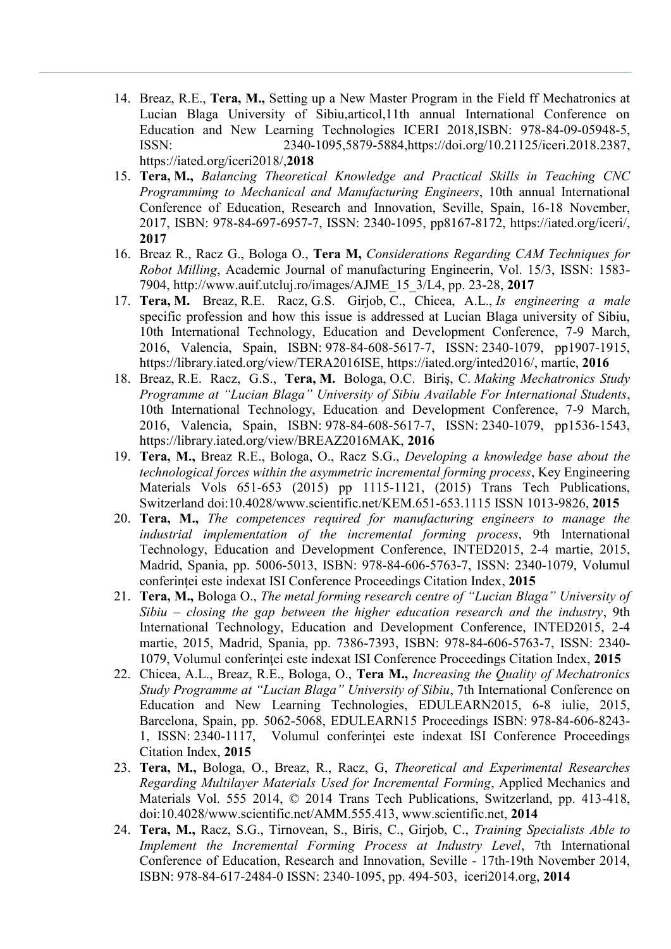- 14. Breaz, R.E., **Tera, M.,** Setting up a New Master Program in the Field ff Mechatronics at Lucian Blaga University of Sibiu,articol,11th annual International Conference on Education and New Learning Technologies ICERI 2018,ISBN: 978-84-09-05948-5, ISSN: 2340-1095,5879-5884[,https://doi.org/10.21125/iceri.2018.2387,](https://doi.org/10.21125/iceri.2018.2387) https://iated.org/iceri2018/,**2018**
- 15. **Tera, M.,** *Balancing Theoretical Knowledge and Practical Skills in Teaching CNC Programmimg to Mechanical and Manufacturing Engineers*, 10th annual International Conference of Education, Research and Innovation, Seville, Spain, 16-18 November, 2017, ISBN: 978-84-697-6957-7, ISSN: 2340-1095, pp8167-8172, https://iated.org/iceri/, **2017**
- 16. Breaz R., Racz G., Bologa O., **Tera M,** *Considerations Regarding CAM Techniques for Robot Milling*, Academic Journal of manufacturing Engineerin, Vol. 15/3, ISSN: 1583- 7904, http://www.auif.utcluj.ro/images/AJME\_15\_3/L4, pp. 23-28, **2017**
- 17. **Tera, M.** Breaz, R.E. Racz, G.S. Girjob, C., Chicea, A.L., *Is engineering a male*  specific profession and how this issue is addressed at Lucian Blaga university of Sibiu, 10th International Technology, Education and Development Conference, 7-9 March, 2016, Valencia, Spain, ISBN: 978-84-608-5617-7, ISSN: 2340-1079, pp1907-1915, https://library.iated.org/view/TERA2016ISE, [https://iated.org/inted2016/,](https://iated.org/inted2016/) martie, **2016**
- 18. Breaz, R.E. Racz, G.S., **Tera, M.** Bologa, O.C. Biriş, C. *Making Mechatronics Study Programme at "Lucian Blaga" University of Sibiu Available For International Students*, 10th International Technology, Education and Development Conference, 7-9 March, 2016, Valencia, Spain, ISBN: 978-84-608-5617-7, ISSN: 2340-1079, pp1536-1543, https://library.iated.org/view/BREAZ2016MAK, **2016**
- 19. **Tera, M.,** Breaz R.E., Bologa, O., Racz S.G., *Developing a knowledge base about the technological forces within the asymmetric incremental forming process*, Key Engineering Materials Vols 651-653 (2015) pp 1115-1121, (2015) Trans Tech Publications, Switzerland doi:10.4028/www.scientific.net/KEM.651-653.1115 ISSN 1013-9826, **2015**
- 20. **Tera, M.,** *The competences required for manufacturing engineers to manage the industrial implementation of the incremental forming process*, 9th International Technology, Education and Development Conference, INTED2015, 2-4 martie, 2015, Madrid, Spania, pp. 5006-5013, ISBN: 978-84-606-5763-7, ISSN: 2340-1079, Volumul conferinţei este indexat ISI Conference Proceedings Citation Index, **2015**
- 21. **Tera, M.,** Bologa O., *The metal forming research centre of "Lucian Blaga" University of Sibiu – closing the gap between the higher education research and the industry*, 9th International Technology, Education and Development Conference, INTED2015, 2-4 martie, 2015, Madrid, Spania, pp. 7386-7393, ISBN: 978-84-606-5763-7, ISSN: 2340- 1079, Volumul conferinţei este indexat ISI Conference Proceedings Citation Index, **2015**
- 22. Chicea, A.L., Breaz, R.E., Bologa, O., **Tera M.,** *Increasing the Quality of Mechatronics Study Programme at "Lucian Blaga" University of Sibiu*, 7th International Conference on Education and New Learning Technologies, EDULEARN2015, 6-8 iulie, 2015, Barcelona, Spain, pp. 5062-5068, EDULEARN15 Proceedings ISBN: 978-84-606-8243- 1, ISSN: 2340-1117, Volumul conferinței este indexat ISI Conference Proceedings Citation Index, **2015**
- 23. **Tera, M.,** Bologa, O., Breaz, R., Racz, G, *Theoretical and Experimental Researches Regarding Multilayer Materials Used for Incremental Forming*, Applied Mechanics and Materials Vol. 555 2014, © 2014 Trans Tech Publications, Switzerland, pp. 413-418, doi:10.4028/www.scientific.net/AMM.555.413, [www.scientific.net,](http://www.scientific.net/) **2014**
- 24. **Tera, M.,** Racz, S.G., Tirnovean, S., Biris, C., Girjob, C., *Training Specialists Able to Implement the Incremental Forming Process at Industry Level*, 7th International Conference of Education, Research and Innovation, Seville - 17th-19th November 2014, ISBN: 978-84-617-2484-0 ISSN: 2340-1095, pp. 494-503, iceri2014.org, **2014**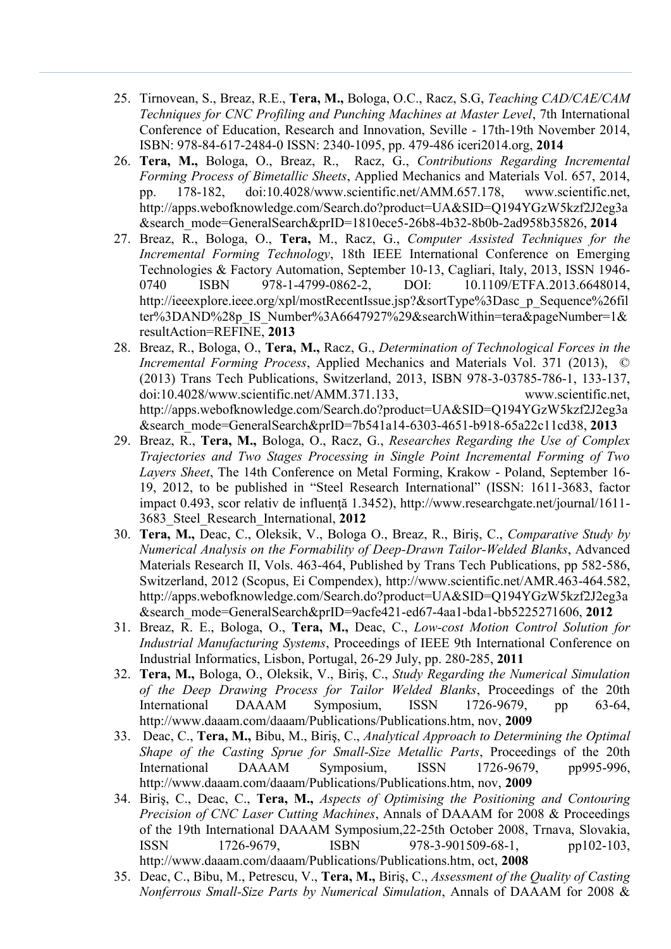- 25. Tirnovean, S., Breaz, R.E., **Tera, M.,** Bologa, O.C., Racz, S.G, *Teaching CAD/CAE/CAM Techniques for CNC Profiling and Punching Machines at Master Level*, 7th International Conference of Education, Research and Innovation, Seville - 17th-19th November 2014, ISBN: 978-84-617-2484-0 ISSN: 2340-1095, pp. 479-486 iceri2014.org, **2014**
- 26. **Tera, M.,** Bologa, O., Breaz, R., Racz, G., *Contributions Regarding Incremental Forming Process of Bimetallic Sheets*, Applied Mechanics and Materials Vol. 657, 2014, pp. 178-182, doi:10.4028/www.scientific.net/AMM.657.178, [www.scientific.net,](http://www.scientific.net/) http://apps.webofknowledge.com/Search.do?product=UA&SID=Q194YGzW5kzf2J2eg3a &search\_mode=GeneralSearch&prID=1810ece5-26b8-4b32-8b0b-2ad958b35826, **2014**
- 27. Breaz, R., Bologa, O., **Tera,** M., Racz, G., *Computer Assisted Techniques for the Incremental Forming Technology*, 18th IEEE International Conference on Emerging Technologies & Factory Automation, September 10-13, Cagliari, Italy, 2013, ISSN 1946- 0740 ISBN 978-1-4799-0862-2, DOI: 10.1109/ETFA.2013.6648014, [http://ieeexplore.ieee.org/xpl/mostRecentIssue.jsp?&sortType%3Dasc\\_p\\_Sequence%26fil](http://ieeexplore.ieee.org/xpl/mostRecentIssue.jsp?&sortType%3Dasc_p_Sequence%26filter%3DAND%28p_IS_Number%3A6647927%29&searchWithin=tera&pageNumber=1&resultAction=REFINE) ter%3DAND%28p IS Number%3A6647927%29&searchWithin=tera&pageNumber=1& [resultAction=REFINE,](http://ieeexplore.ieee.org/xpl/mostRecentIssue.jsp?&sortType%3Dasc_p_Sequence%26filter%3DAND%28p_IS_Number%3A6647927%29&searchWithin=tera&pageNumber=1&resultAction=REFINE) **2013**
- 28. Breaz, R., Bologa, O., **Tera, M.,** Racz, G., *Determination of Technological Forces in the Incremental Forming Process*, Applied Mechanics and Materials Vol. 371 (2013), © (2013) Trans Tech Publications, Switzerland, 2013, ISBN 978-3-03785-786-1, 133-137, doi:10.4028/www.scientific.net/AMM.371.133, [www.scientific.net,](http://www.scientific.net/) http://apps.webofknowledge.com/Search.do?product=UA&SID=Q194YGzW5kzf2J2eg3a &search\_mode=GeneralSearch&prID=7b541a14-6303-4651-b918-65a22c11cd38, **2013**
- 29. Breaz, R., **Tera, M.,** Bologa, O., Racz, G., *Researches Regarding the Use of Complex Trajectories and Two Stages Processing in Single Point Incremental Forming of Two Layers Sheet*, The 14th Conference on Metal Forming, Krakow - Poland, September 16- 19, 2012, to be published in "Steel Research International" (ISSN: 1611-3683, factor impact 0.493, scor relativ de influență 1.3452), http://www.researchgate.net/journal/1611-3683\_Steel\_Research\_International, **2012**
- 30. **Tera, [M.,](http://www.scientific.net/author/Melania_Tera)** Deac, [C.,](http://www.scientific.net/author/Cristian_Deac) Oleksik, V., Bologa O., Breaz, R., [Biriş](http://www.scientific.net/author/Cristina_Biris), C., *Comparative Study by Numerical Analysis on the Formability of Deep-Drawn Tailor-Welded Blanks*, Advanced Materials Research II, Vols. 463-464, Published by Trans Tech Publications, pp 582-586, Switzerland, 2012 (Scopus, Ei Compendex), [http://www.scientific.net/AMR.463-464.582,](http://www.scientific.net/AMR.463-464.582) http://apps.webofknowledge.com/Search.do?product=UA&SID=Q194YGzW5kzf2J2eg3a &search\_mode=GeneralSearch&prID=9acfe421-ed67-4aa1-bda1-bb5225271606, **2012**
- 31. Breaz, R. E., Bologa, O., **Tera, M.,** Deac, C., *Low-cost Motion Control Solution for Industrial Manufacturing Systems*, Proceedings of IEEE 9th International Conference on Industrial Informatics, Lisbon, Portugal, 26-29 July, pp. 280-285, **2011**
- 32. **Tera, M.,** Bologa, O., Oleksik, V., Biriş, C., *Study Regarding the Numerical Simulation of the Deep Drawing Process for Tailor Welded Blanks*, Proceedings of the 20th International DAAAM Symposium, ISSN 1726-9679, pp 63-64, http://www.daaam.com/daaam/Publications/Publications.htm, nov, **2009**
- 33. Deac, C., **Tera, M.,** Bibu, M., Biriş, C., *Analytical Approach to Determining the Optimal Shape of the Casting Sprue for Small-Size Metallic Parts*, Proceedings of the 20th International DAAAM Symposium, ISSN 1726-9679, pp995-996, http://www.daaam.com/daaam/Publications/Publications.htm, nov, **2009**
- 34. Biriş, C., Deac, C., **Tera, M.,** *Aspects of Optimising the Positioning and Contouring Precision of CNC Laser Cutting Machines*, Annals of DAAAM for 2008 & Proceedings of the 19th International DAAAM Symposium,22-25th October 2008, Trnava, Slovakia, ISSN 1726-9679, ISBN 978-3-901509-68-1, pp102-103, http://www.daaam.com/daaam/Publications/Publications.htm, oct, **2008**
- 35. Deac, C., Bibu, M., Petrescu, V., **Tera, M.,** Biriş, C., *Assessment of the Quality of Casting Nonferrous Small-Size Parts by Numerical Simulation*, Annals of DAAAM for 2008 &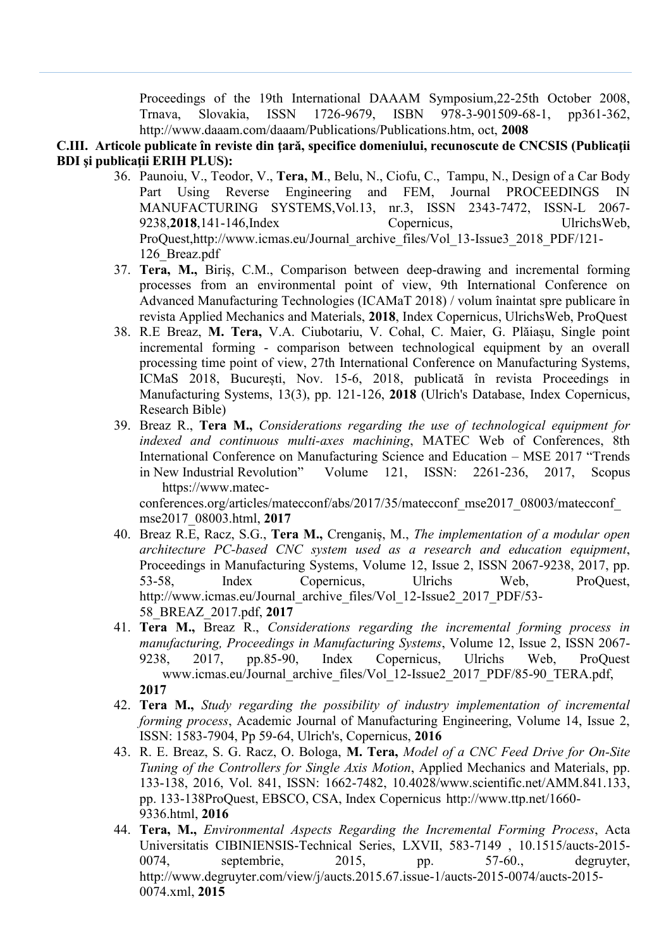Proceedings of the 19th International DAAAM Symposium,22-25th October 2008, Trnava, Slovakia, ISSN 1726-9679, ISBN 978-3-901509-68-1, pp361-362, http://www.daaam.com/daaam/Publications/Publications.htm, oct, **2008**

#### **C.III. Articole publicate în reviste din ţară, specifice domeniului, recunoscute de CNCSIS (Publicaţii BDI şi publicaţii ERIH PLUS):**

- 36. Paunoiu, V., Teodor, V., **Tera, M**., Belu, N., Ciofu, C., Tampu, N., Design of a Car Body Part Using Reverse Engineering and FEM, Journal PROCEEDINGS IN MANUFACTURING SYSTEMS,Vol.13, nr.3, ISSN 2343-7472, ISSN-L 2067- 9238,**2018**,141-146,Index Copernicus, UlrichsWeb, ProQuest,http://www.icmas.eu/Journal\_archive\_files/Vol\_13-Issue3\_2018\_PDF/121- 126\_Breaz.pdf
- 37. **Tera, M.,** Biriş, C.M., Comparison between deep-drawing and incremental forming processes from an environmental point of view, 9th International Conference on Advanced Manufacturing Technologies (ICAMaT 2018) / volum înaintat spre publicare în revista Applied Mechanics and Materials, **2018**, Index Copernicus, UlrichsWeb, ProQuest
- 38. R.E Breaz, **M. Tera,** V.A. Ciubotariu, V. Cohal, C. Maier, G. Plăiașu, Single point incremental forming - comparison between technological equipment by an overall processing time point of view, 27th International Conference on Manufacturing Systems, ICMaS 2018, București, Nov. 15-6, 2018, publicată în revista Proceedings in Manufacturing Systems, 13(3), pp. 121-126, **2018** (Ulrich's Database, Index Copernicus, Research Bible)
- 39. Breaz R., **Tera M.,** *Considerations regarding the use of technological equipment for indexed and continuous multi-axes machining*, MATEC Web of Conferences, 8th International Conference on Manufacturing Science and Education – MSE 2017 "Trends in New Industrial Revolution" Volume 121, ISSN: 2261-236, 2017, Scopus https://www.matec-

conferences.org/articles/matecconf/abs/2017/35/matecconf\_mse2017\_08003/matecconf\_ mse2017\_08003.html, **2017**

- 40. Breaz R.E, Racz, S.G., **Tera M.,** Crenganiș, M., *The implementation of a modular open architecture PC-based CNC system used as a research and education equipment*, Proceedings in Manufacturing Systems, Volume 12, Issue 2, ISSN 2067-9238, 2017, pp. 53-58, Index Copernicus, Ulrichs Web, ProQuest, http://www.icmas.eu/Journal\_archive\_files/Vol\_12-Issue2\_2017\_PDF/53- 58\_BREAZ\_2017.pdf, **2017**
- 41. **Tera M.,** Breaz R., *Considerations regarding the incremental forming process in manufacturing, Proceedings in Manufacturing Systems*, Volume 12, Issue 2, ISSN 2067- 9238, 2017, pp.85-90, Index Copernicus, Ulrichs Web, ProQuest www.icmas.eu/Journal\_archive\_files/Vol\_12-Issue2\_2017\_PDF/85-90\_TERA.pdf, **2017**
- 42. **Tera M.,** *Study regarding the possibility of industry implementation of incremental forming process*, Academic Journal of Manufacturing Engineering, Volume 14, Issue 2, ISSN: 1583-7904, Pp 59-64, Ulrich's, Copernicus, **2016**
- 43. R. E. Breaz, S. G. Racz, O. Bologa, **M. Tera,** *Model of a CNC Feed Drive for On-Site Tuning of the Controllers for Single Axis Motion*, Applied Mechanics and Materials, pp. 133-138, 2016, Vol. 841, ISSN: 1662-7482, 10.4028/www.scientific.net/AMM.841.133, pp. 133-138ProQuest, EBSCO, CSA, Index Copernicus http://www.ttp.net/1660- 9336.html, **2016**
- 44. **Tera, M.,** *Environmental Aspects Regarding the Incremental Forming Process*, Acta Universitatis CIBINIENSIS-Technical Series, LXVII, 583-7149 , 10.1515/aucts-2015- 0074, septembrie, 2015, pp. 57-60., degruyter, http://www.degruyter.com/view/j/aucts.2015.67.issue-1/aucts-2015-0074/aucts-2015- 0074.xml, **2015**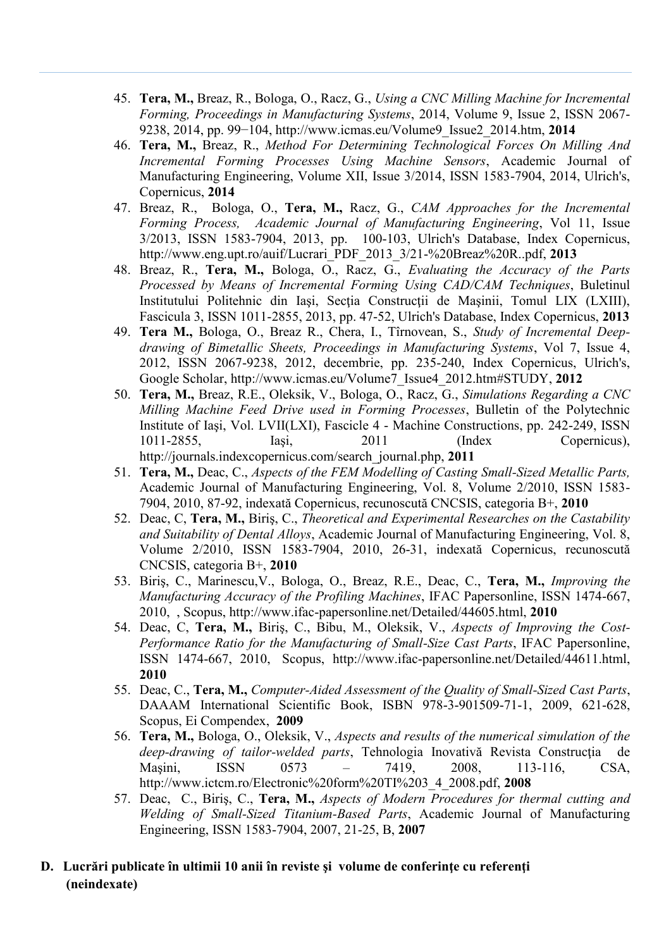- 45. **Tera, M.,** Breaz, R., Bologa, O., Racz, G., *Using a CNC Milling Machine for Incremental Forming, Proceedings in Manufacturing Systems*, 2014, Volume 9, Issue 2, ISSN 2067- 9238, 2014, pp. 99−104, http://www.icmas.eu/Volume9\_Issue2\_2014.htm, **2014**
- 46. **Tera, M.,** Breaz, R., *Method For Determining Technological Forces On Milling And Incremental Forming Processes Using Machine Sensors*, Academic Journal of Manufacturing Engineering, Volume XII, Issue 3/2014, ISSN 1583-7904, 2014, Ulrich's, Copernicus, **2014**
- 47. Breaz, R., Bologa, O., **Tera, M.,** Racz, G., *CAM Approaches for the Incremental Forming Process, Academic Journal of Manufacturing Engineering*, Vol 11, Issue 3/2013, ISSN 1583-7904, 2013, pp. 100-103, Ulrich's Database, Index Copernicus, [http://www.eng.upt.ro/auif/Lucrari\\_PDF\\_2013\\_3/21-%20Breaz%20R..pdf,](http://www.eng.upt.ro/auif/Lucrari_PDF_2013_3/21-%20Breaz%20R..pdf) **2013**
- 48. Breaz, R., **Tera, M.,** Bologa, O., Racz, G., *Evaluating the Accuracy of the Parts Processed by Means of Incremental Forming Using CAD/CAM Techniques*, Buletinul Institutului Politehnic din Iaşi, Secţia Construcţii de Maşinii, Tomul LIX (LXIII), Fascicula 3, ISSN 1011-2855, 2013, pp. 47-52, Ulrich's Database, Index Copernicus, **2013**
- 49. **Tera M.,** Bologa, O., Breaz R., Chera, I., Tîrnovean, S., *Study of Incremental Deepdrawing of Bimetallic Sheets, Proceedings in Manufacturing Systems*, Vol 7, Issue 4, 2012, ISSN 2067-9238, 2012, decembrie, pp. 235-240, Index Copernicus, Ulrich's, Google Scholar, [http://www.icmas.eu/Volume7\\_Issue4\\_2012.htm#STUDY,](http://www.icmas.eu/Volume7_Issue4_2012.htm#STUDY) **2012**
- 50. **Tera, M.,** Breaz, R.E., Oleksik, V., Bologa, O., Racz, G., *Simulations Regarding a CNC Milling Machine Feed Drive used in Forming Processes*, Bulletin of the Polytechnic Institute of Iaşi, Vol. LVII(LXI), Fascicle 4 - Machine Constructions, pp. 242-249, ISSN 1011-2855, Iaşi, 2011 (Index Copernicus), [http://journals.indexcopernicus.com/search\\_journal.php,](http://journals.indexcopernicus.com/search_journal.php) **2011**
- 51. **Tera, M.,** Deac, C., *Aspects of the FEM Modelling of Casting Small-Sized Metallic Parts,* Academic Journal of Manufacturing Engineering, Vol. 8, Volume 2/2010, ISSN 1583- 7904, 2010, 87-92, indexată Copernicus, recunoscută CNCSIS, categoria B+, **2010**
- 52. Deac, C, **Tera, M.,** Biriş, C., *Theoretical and Experimental Researches on the Castability and Suitability of Dental Alloys*, Academic Journal of Manufacturing Engineering, Vol. 8, Volume 2/2010, ISSN 1583-7904, 2010, 26-31, indexată Copernicus, recunoscută CNCSIS, categoria B+, **2010**
- 53. Biriş, C., Marinescu,V., Bologa, O., Breaz, R.E., Deac, C., **Tera, M.,** *Improving the Manufacturing Accuracy of the Profiling Machines*, IFAC Papersonline, ISSN 1474-667, 2010, , Scopus, http://www.ifac-papersonline.net/Detailed/44605.html, **2010**
- 54. Deac, C, **Tera, M.,** Biriş, C., Bibu, M., Oleksik, V., *Aspects of Improving the Cost-Performance Ratio for the Manufacturing of Small-Size Cast Parts*, IFAC Papersonline, ISSN 1474-667, 2010, Scopus, http://www.ifac-papersonline.net/Detailed/44611.html, **2010**
- 55. Deac, C., **Tera, M.,** *Computer-Aided Assessment of the Quality of Small-Sized Cast Parts*, DAAAM International Scientific Book, ISBN 978-3-901509-71-1, 2009, 621-628, Scopus, Ei Compendex, **2009**
- 56. **Tera, M.,** Bologa, O., Oleksik, V., *Aspects and results of the numerical simulation of the deep-drawing of tailor-welded parts*, Tehnologia Inovativă Revista Construcţia de Maşini, ISSN 0573 – 7419, 2008, 113-116, CSA, http://www.ictcm.ro/Electronic%20form%20TI%203\_4\_2008.pdf, **2008**
- 57. Deac, C., Biriş, C., **Tera, M.,** *Aspects of Modern Procedures for thermal cutting and Welding of Small-Sized Titanium-Based Parts*, Academic Journal of Manufacturing Engineering, ISSN 1583-7904, 2007, 21-25, B, **2007**
- **D.** Lucrări publicate în ultimii 10 anii în reviste și volume de conferințe cu referenți **(neindexate)**